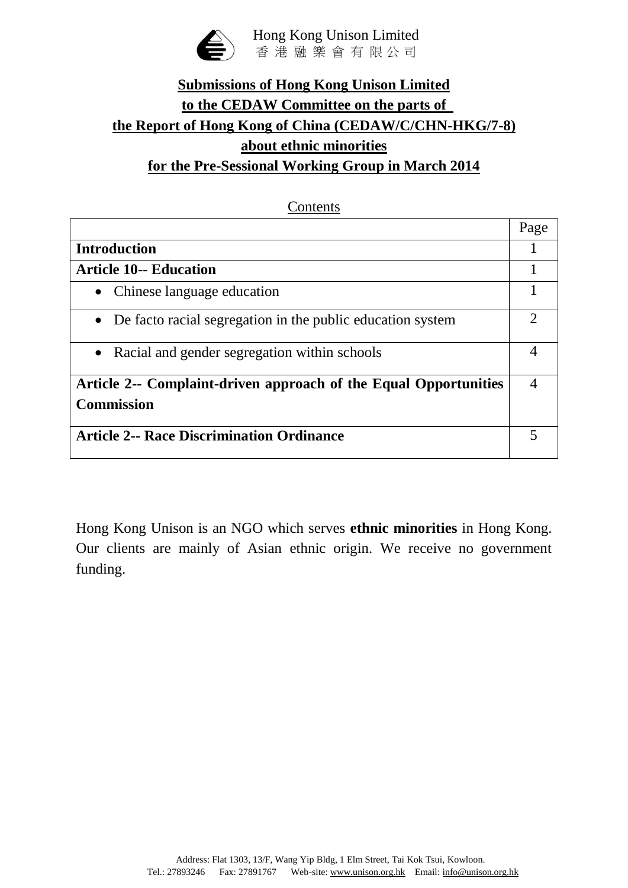

# **Submissions of Hong Kong Unison Limited to the CEDAW Committee on the parts of the Report of Hong Kong of China (CEDAW/C/CHN-HKG/7-8) about ethnic minorities for the Pre-Sessional Working Group in March 2014**

#### Contents

|                                                                  | Page |
|------------------------------------------------------------------|------|
| <b>Introduction</b>                                              |      |
| <b>Article 10-- Education</b>                                    |      |
| Chinese language education<br>$\bullet$                          |      |
| • De facto racial segregation in the public education system     | ∍    |
| Racial and gender segregation within schools<br>$\bullet$        |      |
| Article 2-- Complaint-driven approach of the Equal Opportunities |      |
| <b>Commission</b>                                                |      |
| <b>Article 2-- Race Discrimination Ordinance</b>                 |      |

Hong Kong Unison is an NGO which serves **ethnic minorities** in Hong Kong. Our clients are mainly of Asian ethnic origin. We receive no government funding.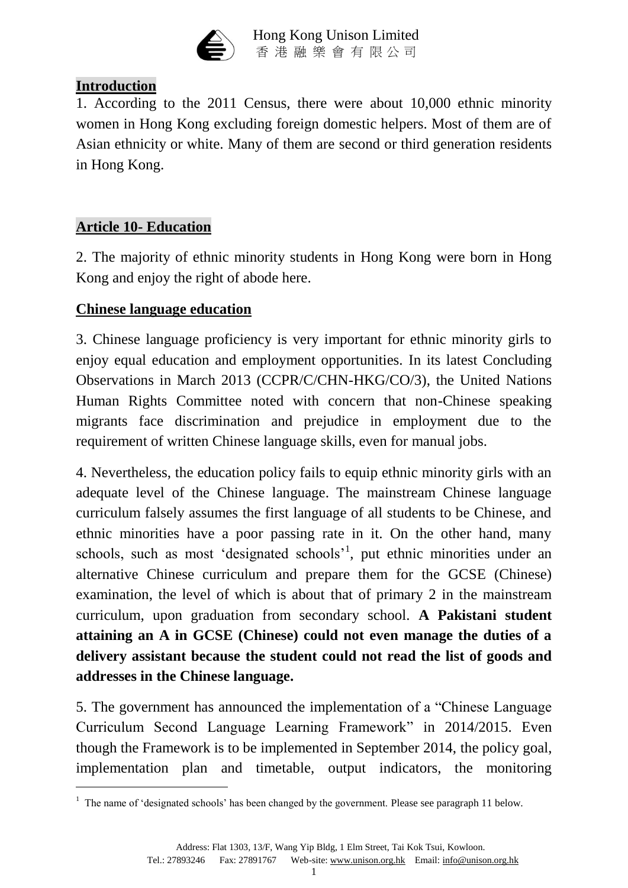

### **Introduction**

1. According to the 2011 Census, there were about 10,000 ethnic minority women in Hong Kong excluding foreign domestic helpers. Most of them are of Asian ethnicity or white. Many of them are second or third generation residents in Hong Kong.

### **Article 10- Education**

1

2. The majority of ethnic minority students in Hong Kong were born in Hong Kong and enjoy the right of abode here.

#### **Chinese language education**

3. Chinese language proficiency is very important for ethnic minority girls to enjoy equal education and employment opportunities. In its latest Concluding Observations in March 2013 (CCPR/C/CHN-HKG/CO/3), the United Nations Human Rights Committee noted with concern that non-Chinese speaking migrants face discrimination and prejudice in employment due to the requirement of written Chinese language skills, even for manual jobs.

4. Nevertheless, the education policy fails to equip ethnic minority girls with an adequate level of the Chinese language. The mainstream Chinese language curriculum falsely assumes the first language of all students to be Chinese, and ethnic minorities have a poor passing rate in it. On the other hand, many schools, such as most 'designated schools'<sup>1</sup>, put ethnic minorities under an alternative Chinese curriculum and prepare them for the GCSE (Chinese) examination, the level of which is about that of primary 2 in the mainstream curriculum, upon graduation from secondary school. **A Pakistani student attaining an A in GCSE (Chinese) could not even manage the duties of a delivery assistant because the student could not read the list of goods and addresses in the Chinese language.**

5. The government has announced the implementation of a "Chinese Language Curriculum Second Language Learning Framework" in 2014/2015. Even though the Framework is to be implemented in September 2014, the policy goal, implementation plan and timetable, output indicators, the monitoring

<sup>&</sup>lt;sup>1</sup> The name of 'designated schools' has been changed by the government. Please see paragraph 11 below.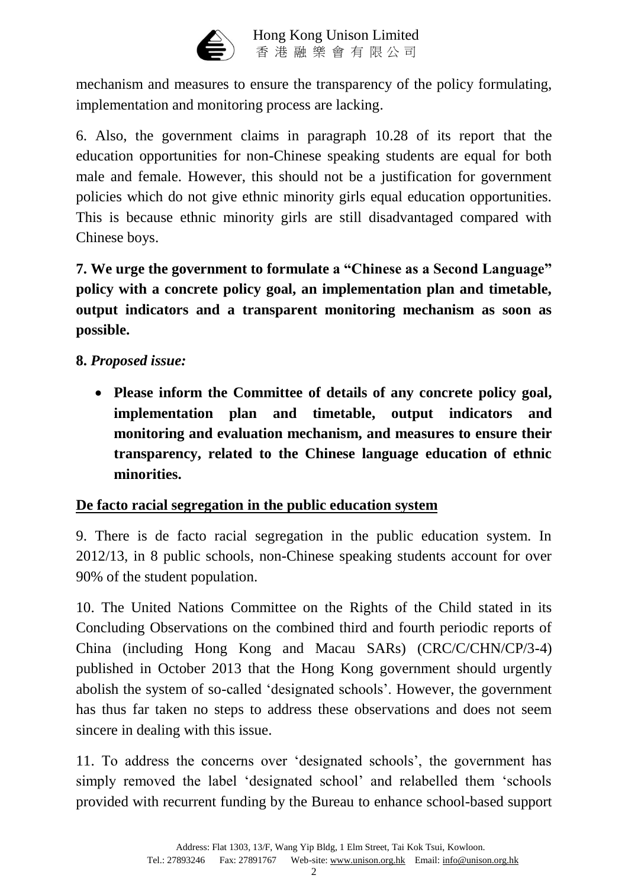

mechanism and measures to ensure the transparency of the policy formulating, implementation and monitoring process are lacking.

6. Also, the government claims in paragraph 10.28 of its report that the education opportunities for non-Chinese speaking students are equal for both male and female. However, this should not be a justification for government policies which do not give ethnic minority girls equal education opportunities. This is because ethnic minority girls are still disadvantaged compared with Chinese boys.

**7. We urge the government to formulate a "Chinese as a Second Language" policy with a concrete policy goal, an implementation plan and timetable, output indicators and a transparent monitoring mechanism as soon as possible.**

### **8.** *Proposed issue:*

 **Please inform the Committee of details of any concrete policy goal, implementation plan and timetable, output indicators and monitoring and evaluation mechanism, and measures to ensure their transparency, related to the Chinese language education of ethnic minorities.**

#### **De facto racial segregation in the public education system**

9. There is de facto racial segregation in the public education system. In 2012/13, in 8 public schools, non-Chinese speaking students account for over 90% of the student population.

10. The United Nations Committee on the Rights of the Child stated in its Concluding Observations on the combined third and fourth periodic reports of China (including Hong Kong and Macau SARs) (CRC/C/CHN/CP/3-4) published in October 2013 that the Hong Kong government should urgently abolish the system of so-called 'designated schools'. However, the government has thus far taken no steps to address these observations and does not seem sincere in dealing with this issue.

11. To address the concerns over 'designated schools', the government has simply removed the label 'designated school' and relabelled them 'schools provided with recurrent funding by the Bureau to enhance school-based support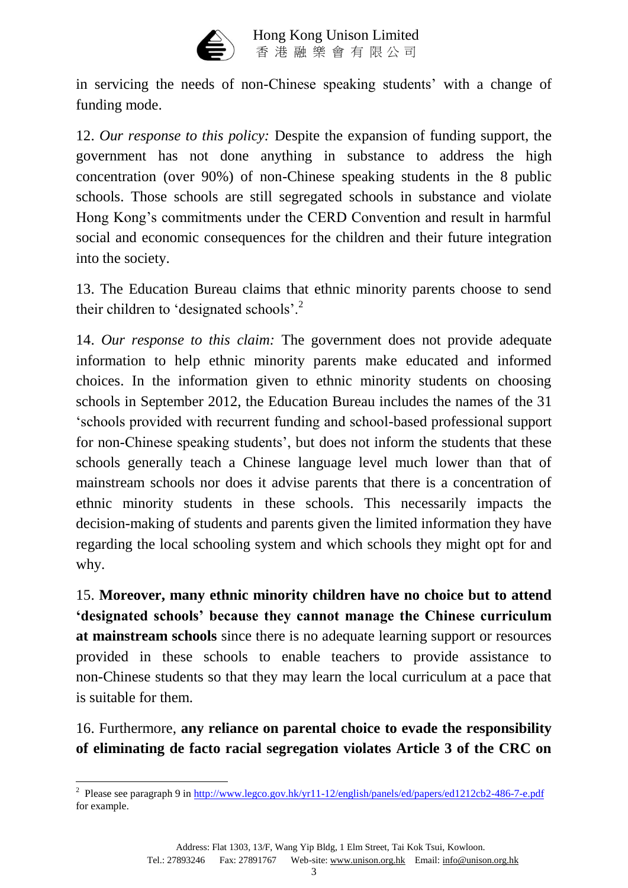

in servicing the needs of non-Chinese speaking students' with a change of funding mode.

12. *Our response to this policy:* Despite the expansion of funding support, the government has not done anything in substance to address the high concentration (over 90%) of non-Chinese speaking students in the 8 public schools. Those schools are still segregated schools in substance and violate Hong Kong's commitments under the CERD Convention and result in harmful social and economic consequences for the children and their future integration into the society.

13. The Education Bureau claims that ethnic minority parents choose to send their children to 'designated schools'.<sup>2</sup>

14. *Our response to this claim:* The government does not provide adequate information to help ethnic minority parents make educated and informed choices. In the information given to ethnic minority students on choosing schools in September 2012, the Education Bureau includes the names of the 31 'schools provided with recurrent funding and school-based professional support for non-Chinese speaking students', but does not inform the students that these schools generally teach a Chinese language level much lower than that of mainstream schools nor does it advise parents that there is a concentration of ethnic minority students in these schools. This necessarily impacts the decision-making of students and parents given the limited information they have regarding the local schooling system and which schools they might opt for and why.

15. **Moreover, many ethnic minority children have no choice but to attend 'designated schools' because they cannot manage the Chinese curriculum at mainstream schools** since there is no adequate learning support or resources provided in these schools to enable teachers to provide assistance to non-Chinese students so that they may learn the local curriculum at a pace that is suitable for them.

16. Furthermore, **any reliance on parental choice to evade the responsibility of eliminating de facto racial segregation violates Article 3 of the CRC on** 

1

<sup>&</sup>lt;sup>2</sup> Please see paragraph 9 in<http://www.legco.gov.hk/yr11-12/english/panels/ed/papers/ed1212cb2-486-7-e.pdf> for example.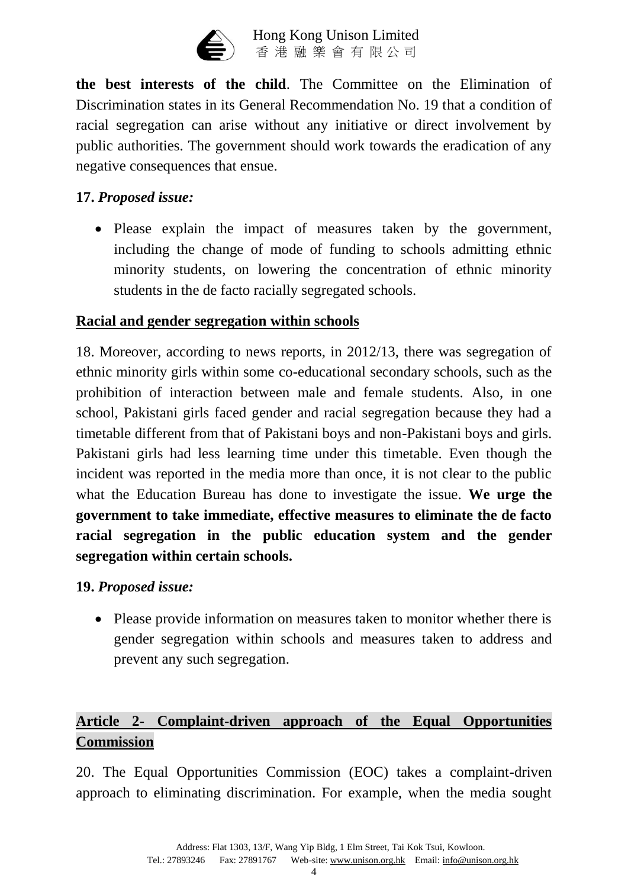

**the best interests of the child**. The Committee on the Elimination of Discrimination states in its General Recommendation No. 19 that a condition of racial segregation can arise without any initiative or direct involvement by public authorities. The government should work towards the eradication of any negative consequences that ensue.

### **17.** *Proposed issue:*

• Please explain the impact of measures taken by the government, including the change of mode of funding to schools admitting ethnic minority students, on lowering the concentration of ethnic minority students in the de facto racially segregated schools.

### **Racial and gender segregation within schools**

18. Moreover, according to news reports, in 2012/13, there was segregation of ethnic minority girls within some co-educational secondary schools, such as the prohibition of interaction between male and female students. Also, in one school, Pakistani girls faced gender and racial segregation because they had a timetable different from that of Pakistani boys and non-Pakistani boys and girls. Pakistani girls had less learning time under this timetable. Even though the incident was reported in the media more than once, it is not clear to the public what the Education Bureau has done to investigate the issue. **We urge the government to take immediate, effective measures to eliminate the de facto racial segregation in the public education system and the gender segregation within certain schools.**

#### **19.** *Proposed issue:*

• Please provide information on measures taken to monitor whether there is gender segregation within schools and measures taken to address and prevent any such segregation.

## **Article 2- Complaint-driven approach of the Equal Opportunities Commission**

20. The Equal Opportunities Commission (EOC) takes a complaint-driven approach to eliminating discrimination. For example, when the media sought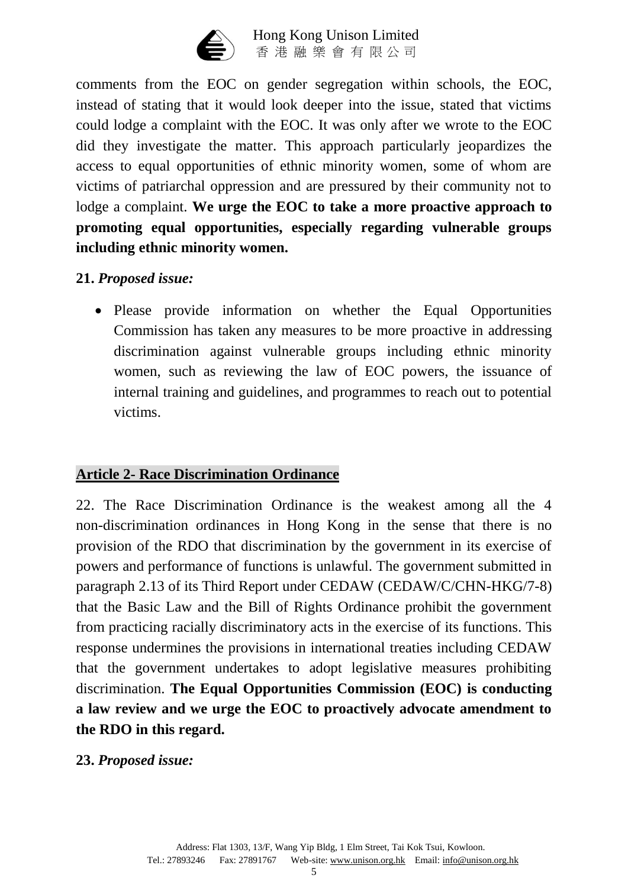

comments from the EOC on gender segregation within schools, the EOC, instead of stating that it would look deeper into the issue, stated that victims could lodge a complaint with the EOC. It was only after we wrote to the EOC did they investigate the matter. This approach particularly jeopardizes the access to equal opportunities of ethnic minority women, some of whom are victims of patriarchal oppression and are pressured by their community not to lodge a complaint. **We urge the EOC to take a more proactive approach to promoting equal opportunities, especially regarding vulnerable groups including ethnic minority women.**

#### **21.** *Proposed issue:*

• Please provide information on whether the Equal Opportunities Commission has taken any measures to be more proactive in addressing discrimination against vulnerable groups including ethnic minority women, such as reviewing the law of EOC powers, the issuance of internal training and guidelines, and programmes to reach out to potential victims.

### **Article 2- Race Discrimination Ordinance**

22. The Race Discrimination Ordinance is the weakest among all the 4 non-discrimination ordinances in Hong Kong in the sense that there is no provision of the RDO that discrimination by the government in its exercise of powers and performance of functions is unlawful. The government submitted in paragraph 2.13 of its Third Report under CEDAW (CEDAW/C/CHN-HKG/7-8) that the Basic Law and the Bill of Rights Ordinance prohibit the government from practicing racially discriminatory acts in the exercise of its functions. This response undermines the provisions in international treaties including CEDAW that the government undertakes to adopt legislative measures prohibiting discrimination. **The Equal Opportunities Commission (EOC) is conducting a law review and we urge the EOC to proactively advocate amendment to the RDO in this regard.**

#### **23.** *Proposed issue:*